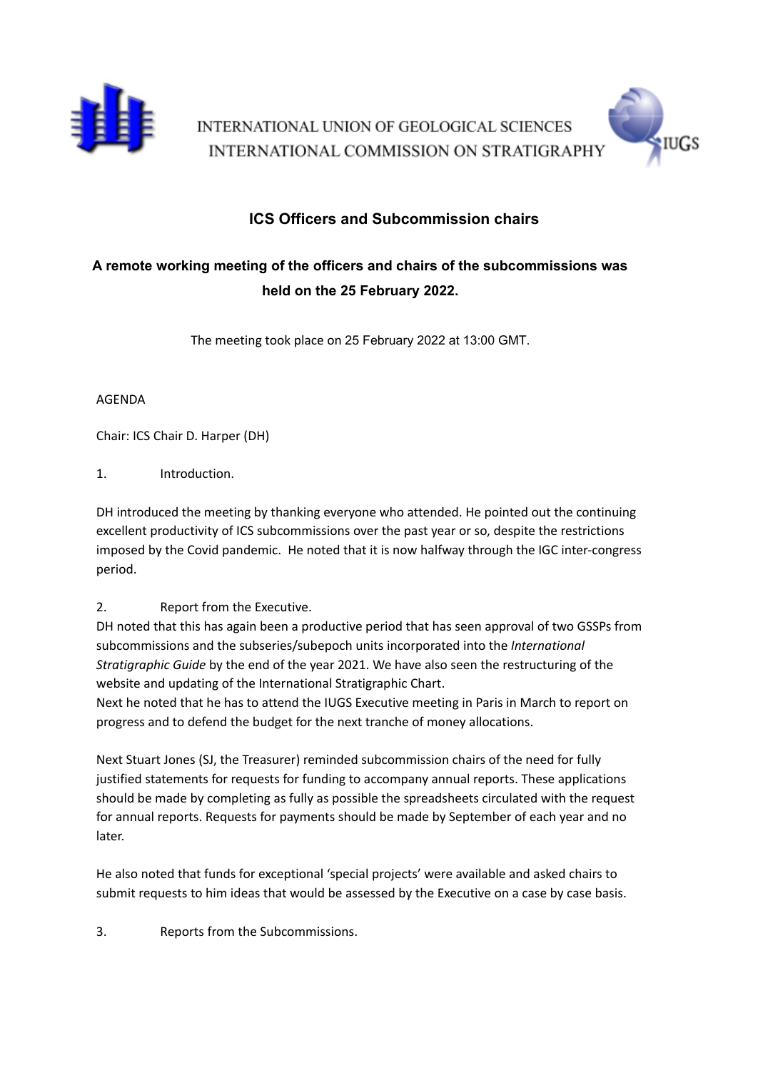

INTERNATIONAL UNION OF GEOLOGICAL SCIENCES INTERNATIONAL COMMISSION ON STRATIGRAPHY



## **ICS Officers and Subcommission chairs**

# **A remote working meeting of the officers and chairs of the subcommissions was held on the 25 February 2022.**

The meeting took place on 25 February 2022 at 13:00 GMT.

### AGENDA

Chair: ICS Chair D. Harper (DH)

## 1. Introduction.

DH introduced the meeting by thanking everyone who attended. He pointed out the continuing excellent productivity of ICS subcommissions over the past year or so, despite the restrictions imposed by the Covid pandemic. He noted that it is now halfway through the IGC inter-congress period.

## 2. Report from the Executive.

DH noted that this has again been a productive period that has seen approval of two GSSPs from subcommissions and the subseries/subepoch units incorporated into the *International Stratigraphic Guide* by the end of the year 2021. We have also seen the restructuring of the website and updating of the International Stratigraphic Chart.

Next he noted that he has to attend the IUGS Executive meeting in Paris in March to report on progress and to defend the budget for the next tranche of money allocations.

Next Stuart Jones (SJ, the Treasurer) reminded subcommission chairs of the need for fully justified statements for requests for funding to accompany annual reports. These applications should be made by completing as fully as possible the spreadsheets circulated with the request for annual reports. Requests for payments should be made by September of each year and no later.

He also noted that funds for exceptional 'special projects' were available and asked chairs to submit requests to him ideas that would be assessed by the Executive on a case by case basis.

3. Reports from the Subcommissions.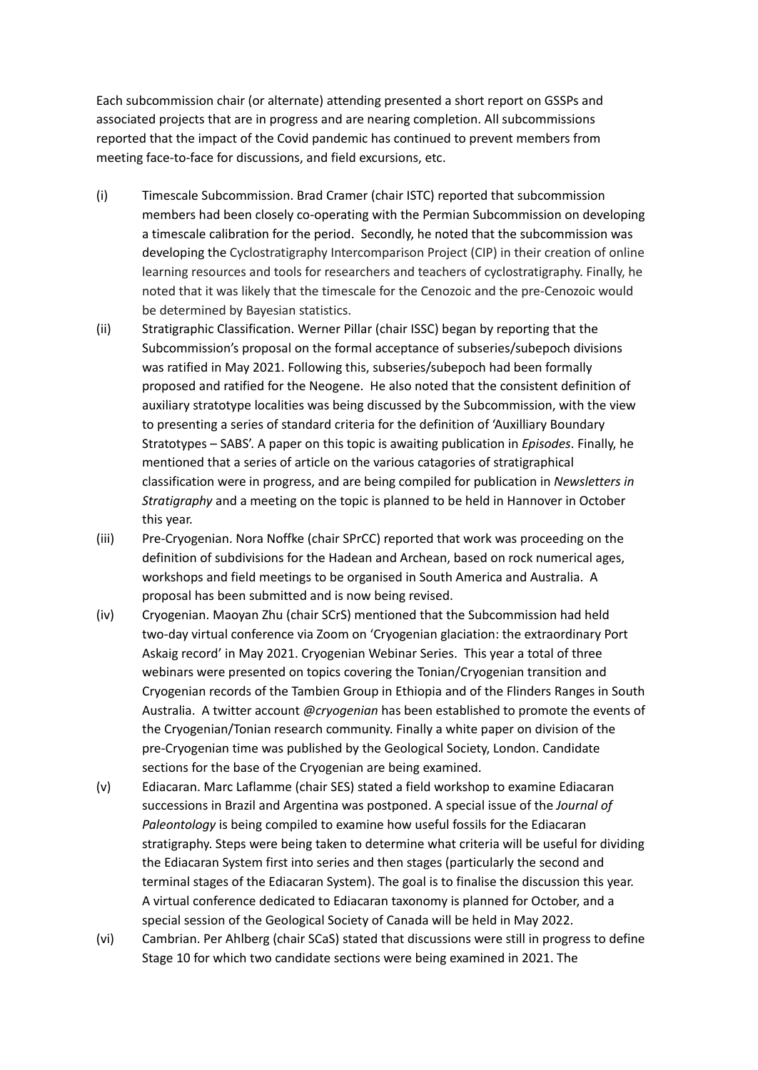Each subcommission chair (or alternate) attending presented a short report on GSSPs and associated projects that are in progress and are nearing completion. All subcommissions reported that the impact of the Covid pandemic has continued to prevent members from meeting face-to-face for discussions, and field excursions, etc.

- (i) Timescale Subcommission. Brad Cramer (chair ISTC) reported that subcommission members had been closely co-operating with the Permian Subcommission on developing a timescale calibration for the period. Secondly, he noted that the subcommission was developing the Cyclostratigraphy Intercomparison Project (CIP) in their creation of online learning resources and tools for researchers and teachers of cyclostratigraphy. Finally, he noted that it was likely that the timescale for the Cenozoic and the pre-Cenozoic would be determined by Bayesian statistics.
- (ii) Stratigraphic Classification. Werner Pillar (chair ISSC) began by reporting that the Subcommission's proposal on the formal acceptance of subseries/subepoch divisions was ratified in May 2021. Following this, subseries/subepoch had been formally proposed and ratified for the Neogene. He also noted that the consistent definition of auxiliary stratotype localities was being discussed by the Subcommission, with the view to presenting a series of standard criteria for the definition of 'Auxilliary Boundary Stratotypes – SABS'. A paper on this topic is awaiting publication in *Episodes*. Finally, he mentioned that a series of article on the various catagories of stratigraphical classification were in progress, and are being compiled for publication in *Newsletters in Stratigraphy* and a meeting on the topic is planned to be held in Hannover in October this year.
- (iii) Pre-Cryogenian. Nora Noffke (chair SPrCC) reported that work was proceeding on the definition of subdivisions for the Hadean and Archean, based on rock numerical ages, workshops and field meetings to be organised in South America and Australia. A proposal has been submitted and is now being revised.
- (iv) Cryogenian. Maoyan Zhu (chair SCrS) mentioned that the Subcommission had held two-day virtual conference via Zoom on 'Cryogenian glaciation: the extraordinary Port Askaig record' in May 2021. Cryogenian Webinar Series. This year a total of three webinars were presented on topics covering the Tonian/Cryogenian transition and Cryogenian records of the Tambien Group in Ethiopia and of the Flinders Ranges in South Australia. A twitter account *@cryogenian* has been established to promote the events of the Cryogenian/Tonian research community. Finally a white paper on division of the pre-Cryogenian time was published by the Geological Society, London. Candidate sections for the base of the Cryogenian are being examined.
- (v) Ediacaran. Marc Laflamme (chair SES) stated a field workshop to examine Ediacaran successions in Brazil and Argentina was postponed. A special issue of the *Journal of Paleontology* is being compiled to examine how useful fossils for the Ediacaran stratigraphy. Steps were being taken to determine what criteria will be useful for dividing the Ediacaran System first into series and then stages (particularly the second and terminal stages of the Ediacaran System). The goal is to finalise the discussion this year. A virtual conference dedicated to Ediacaran taxonomy is planned for October, and a special session of the Geological Society of Canada will be held in May 2022.
- (vi) Cambrian. Per Ahlberg (chair SCaS) stated that discussions were still in progress to define Stage 10 for which two candidate sections were being examined in 2021. The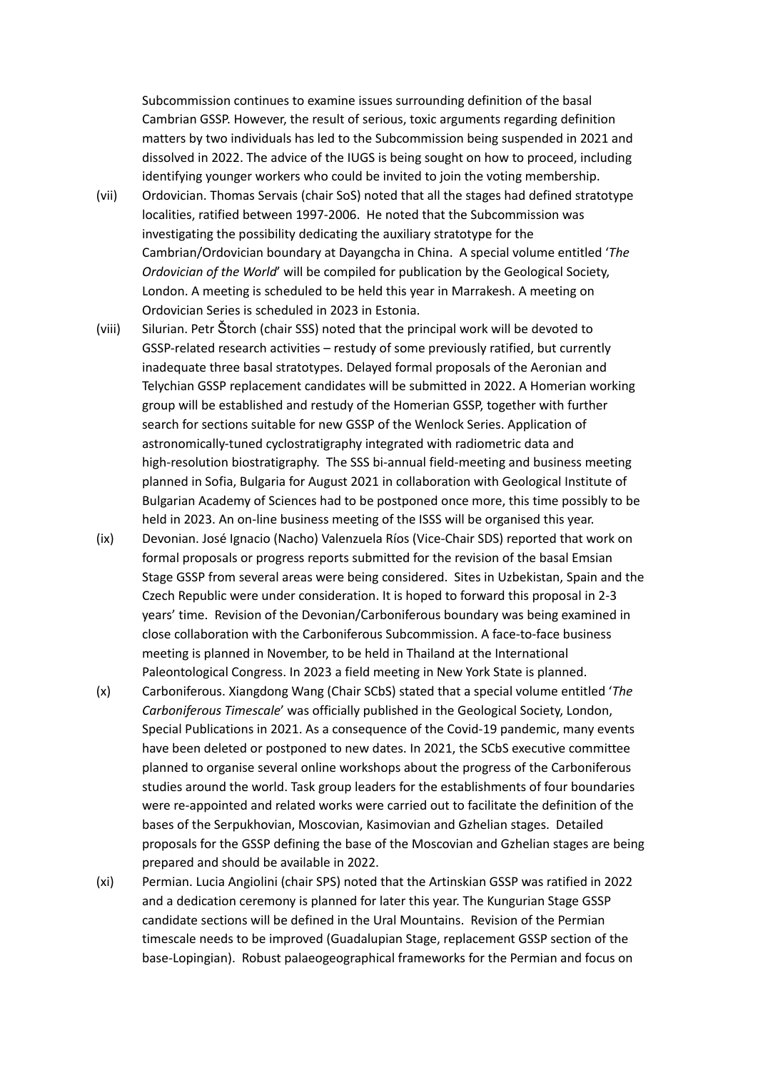Subcommission continues to examine issues surrounding definition of the basal Cambrian GSSP. However, the result of serious, toxic arguments regarding definition matters by two individuals has led to the Subcommission being suspended in 2021 and dissolved in 2022. The advice of the IUGS is being sought on how to proceed, including identifying younger workers who could be invited to join the voting membership.

- (vii) Ordovician. Thomas Servais (chair SoS) noted that all the stages had defined stratotype localities, ratified between 1997-2006. He noted that the Subcommission was investigating the possibility dedicating the auxiliary stratotype for the Cambrian/Ordovician boundary at Dayangcha in China. A special volume entitled '*The Ordovician of the World*' will be compiled for publication by the Geological Society, London. A meeting is scheduled to be held this year in Marrakesh. A meeting on Ordovician Series is scheduled in 2023 in Estonia.
- (viii) Silurian. Petr Štorch (chair SSS) noted that the principal work will be devoted to GSSP-related research activities – restudy of some previously ratified, but currently inadequate three basal stratotypes. Delayed formal proposals of the Aeronian and Telychian GSSP replacement candidates will be submitted in 2022. A Homerian working group will be established and restudy of the Homerian GSSP, together with further search for sections suitable for new GSSP of the Wenlock Series. Application of astronomically-tuned cyclostratigraphy integrated with radiometric data and high-resolution biostratigraphy. The SSS bi-annual field-meeting and business meeting planned in Sofia, Bulgaria for August 2021 in collaboration with Geological Institute of Bulgarian Academy of Sciences had to be postponed once more, this time possibly to be held in 2023. An on-line business meeting of the ISSS will be organised this year.
- (ix) Devonian. José Ignacio (Nacho) Valenzuela Ríos (Vice-Chair SDS) reported that work on formal proposals or progress reports submitted for the revision of the basal Emsian Stage GSSP from several areas were being considered. Sites in Uzbekistan, Spain and the Czech Republic were under consideration. It is hoped to forward this proposal in 2-3 years' time. Revision of the Devonian/Carboniferous boundary was being examined in close collaboration with the Carboniferous Subcommission. A face-to-face business meeting is planned in November, to be held in Thailand at the International Paleontological Congress. In 2023 a field meeting in New York State is planned.
- (x) Carboniferous. Xiangdong Wang (Chair SCbS) stated that a special volume entitled '*The Carboniferous Timescale*' was officially published in the Geological Society, London, Special Publications in 2021. As a consequence of the Covid-19 pandemic, many events have been deleted or postponed to new dates. In 2021, the SCbS executive committee planned to organise several online workshops about the progress of the Carboniferous studies around the world. Task group leaders for the establishments of four boundaries were re-appointed and related works were carried out to facilitate the definition of the bases of the Serpukhovian, Moscovian, Kasimovian and Gzhelian stages. Detailed proposals for the GSSP defining the base of the Moscovian and Gzhelian stages are being prepared and should be available in 2022.
- (xi) Permian. Lucia Angiolini (chair SPS) noted that the Artinskian GSSP was ratified in 2022 and a dedication ceremony is planned for later this year. The Kungurian Stage GSSP candidate sections will be defined in the Ural Mountains. Revision of the Permian timescale needs to be improved (Guadalupian Stage, replacement GSSP section of the base-Lopingian). Robust palaeogeographical frameworks for the Permian and focus on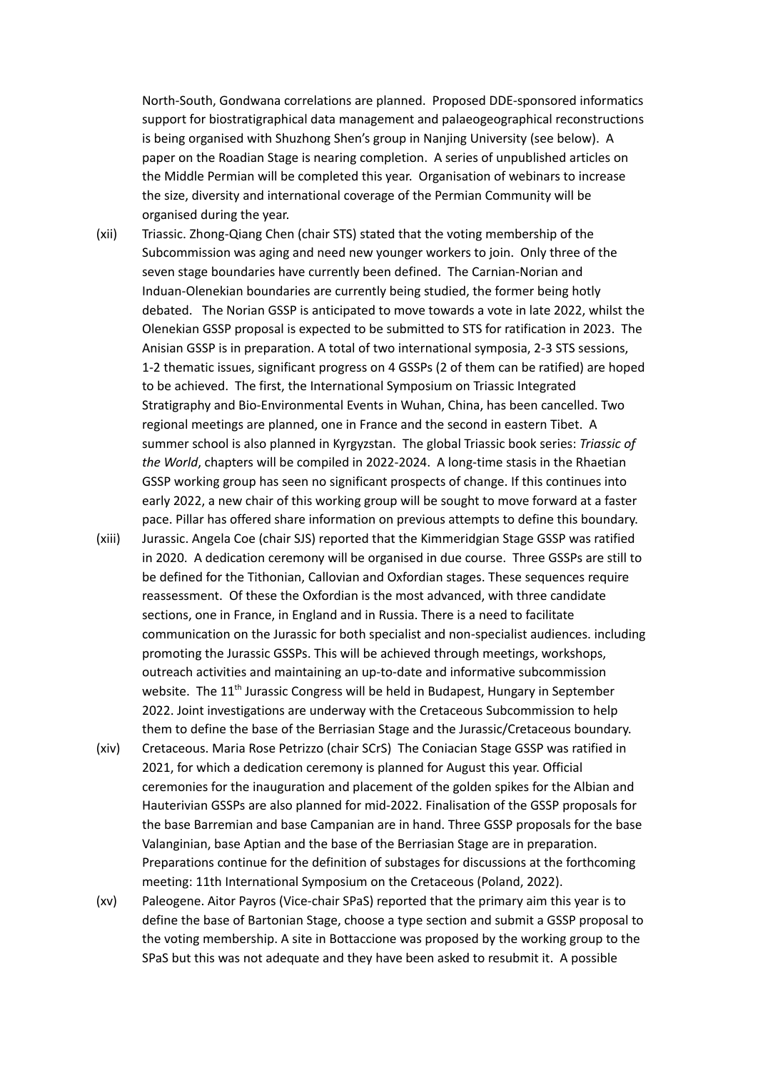North-South, Gondwana correlations are planned. Proposed DDE-sponsored informatics support for biostratigraphical data management and palaeogeographical reconstructions is being organised with Shuzhong Shen's group in Nanjing University (see below). A paper on the Roadian Stage is nearing completion. A series of unpublished articles on the Middle Permian will be completed this year. Organisation of webinars to increase the size, diversity and international coverage of the Permian Community will be organised during the year.

- (xii) Triassic. Zhong-Qiang Chen (chair STS) stated that the voting membership of the Subcommission was aging and need new younger workers to join. Only three of the seven stage boundaries have currently been defined. The Carnian-Norian and Induan-Olenekian boundaries are currently being studied, the former being hotly debated. The Norian GSSP is anticipated to move towards a vote in late 2022, whilst the Olenekian GSSP proposal is expected to be submitted to STS for ratification in 2023. The Anisian GSSP is in preparation. A total of two international symposia, 2-3 STS sessions, 1-2 thematic issues, significant progress on 4 GSSPs (2 of them can be ratified) are hoped to be achieved. The first, the International Symposium on Triassic Integrated Stratigraphy and Bio-Environmental Events in Wuhan, China, has been cancelled. Two regional meetings are planned, one in France and the second in eastern Tibet. A summer school is also planned in Kyrgyzstan. The global Triassic book series: *Triassic of the World*, chapters will be compiled in 2022-2024. A long-time stasis in the Rhaetian GSSP working group has seen no significant prospects of change. If this continues into early 2022, a new chair of this working group will be sought to move forward at a faster pace. Pillar has offered share information on previous attempts to define this boundary.
- (xiii) Jurassic. Angela Coe (chair SJS) reported that the Kimmeridgian Stage GSSP was ratified in 2020. A dedication ceremony will be organised in due course. Three GSSPs are still to be defined for the Tithonian, Callovian and Oxfordian stages. These sequences require reassessment. Of these the Oxfordian is the most advanced, with three candidate sections, one in France, in England and in Russia. There is a need to facilitate communication on the Jurassic for both specialist and non-specialist audiences. including promoting the Jurassic GSSPs. This will be achieved through meetings, workshops, outreach activities and maintaining an up-to-date and informative subcommission website. The 11<sup>th</sup> Jurassic Congress will be held in Budapest, Hungary in September 2022. Joint investigations are underway with the Cretaceous Subcommission to help them to define the base of the Berriasian Stage and the Jurassic/Cretaceous boundary.
- (xiv) Cretaceous. Maria Rose Petrizzo (chair SCrS) The Coniacian Stage GSSP was ratified in 2021, for which a dedication ceremony is planned for August this year. Official ceremonies for the inauguration and placement of the golden spikes for the Albian and Hauterivian GSSPs are also planned for mid-2022. Finalisation of the GSSP proposals for the base Barremian and base Campanian are in hand. Three GSSP proposals for the base Valanginian, base Aptian and the base of the Berriasian Stage are in preparation. Preparations continue for the definition of substages for discussions at the forthcoming meeting: 11th International Symposium on the Cretaceous (Poland, 2022).
- (xv) Paleogene. Aitor Payros (Vice-chair SPaS) reported that the primary aim this year is to define the base of Bartonian Stage, choose a type section and submit a GSSP proposal to the voting membership. A site in Bottaccione was proposed by the working group to the SPaS but this was not adequate and they have been asked to resubmit it. A possible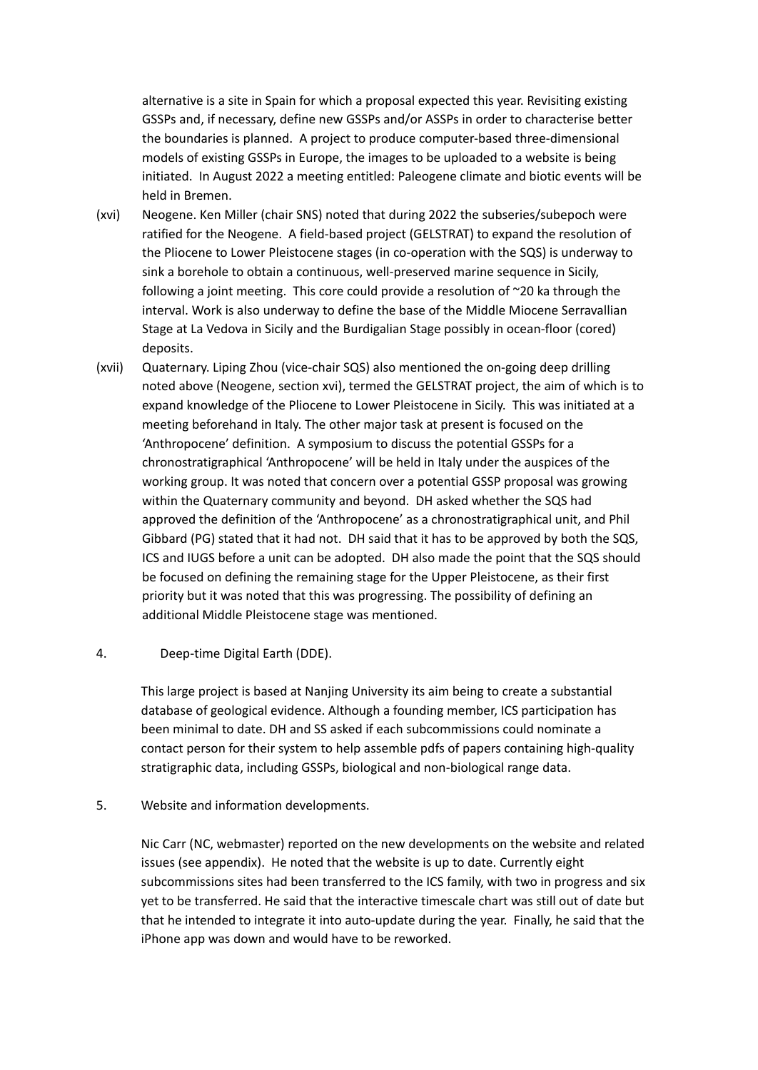alternative is a site in Spain for which a proposal expected this year. Revisiting existing GSSPs and, if necessary, define new GSSPs and/or ASSPs in order to characterise better the boundaries is planned. A project to produce computer-based three-dimensional models of existing GSSPs in Europe, the images to be uploaded to a website is being initiated. In August 2022 a meeting entitled: Paleogene climate and biotic events will be held in Bremen.

- (xvi) Neogene. Ken Miller (chair SNS) noted that during 2022 the subseries/subepoch were ratified for the Neogene. A field-based project (GELSTRAT) to expand the resolution of the Pliocene to Lower Pleistocene stages (in co-operation with the SQS) is underway to sink a borehole to obtain a continuous, well-preserved marine sequence in Sicily, following a joint meeting. This core could provide a resolution of ~20 ka through the interval. Work is also underway to define the base of the Middle Miocene Serravallian Stage at La Vedova in Sicily and the Burdigalian Stage possibly in ocean-floor (cored) deposits.
- (xvii) Quaternary. Liping Zhou (vice-chair SQS) also mentioned the on-going deep drilling noted above (Neogene, section xvi), termed the GELSTRAT project, the aim of which is to expand knowledge of the Pliocene to Lower Pleistocene in Sicily. This was initiated at a meeting beforehand in Italy. The other major task at present is focused on the 'Anthropocene' definition. A symposium to discuss the potential GSSPs for a chronostratigraphical 'Anthropocene' will be held in Italy under the auspices of the working group. It was noted that concern over a potential GSSP proposal was growing within the Quaternary community and beyond. DH asked whether the SQS had approved the definition of the 'Anthropocene' as a chronostratigraphical unit, and Phil Gibbard (PG) stated that it had not. DH said that it has to be approved by both the SQS, ICS and IUGS before a unit can be adopted. DH also made the point that the SQS should be focused on defining the remaining stage for the Upper Pleistocene, as their first priority but it was noted that this was progressing. The possibility of defining an additional Middle Pleistocene stage was mentioned.

#### 4. Deep-time Digital Earth (DDE).

This large project is based at Nanjing University its aim being to create a substantial database of geological evidence. Although a founding member, ICS participation has been minimal to date. DH and SS asked if each subcommissions could nominate a contact person for their system to help assemble pdfs of papers containing high-quality stratigraphic data, including GSSPs, biological and non-biological range data.

#### 5. Website and information developments.

Nic Carr (NC, webmaster) reported on the new developments on the website and related issues (see appendix). He noted that the website is up to date. Currently eight subcommissions sites had been transferred to the ICS family, with two in progress and six yet to be transferred. He said that the interactive timescale chart was still out of date but that he intended to integrate it into auto-update during the year. Finally, he said that the iPhone app was down and would have to be reworked.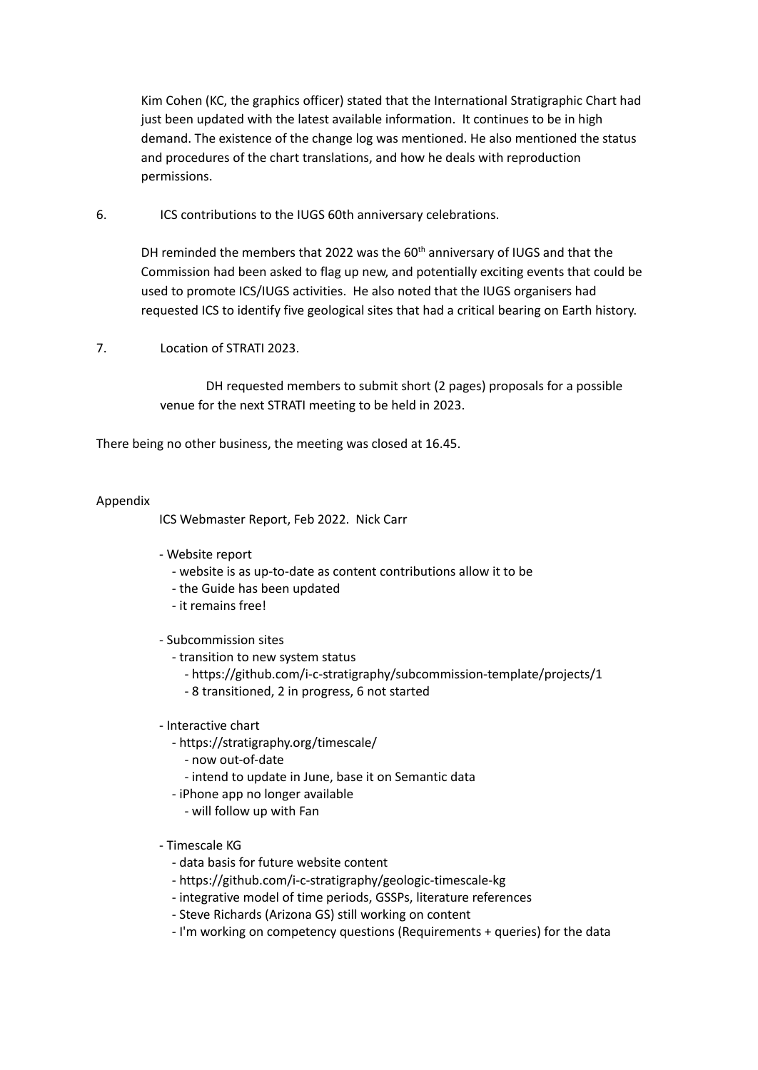Kim Cohen (KC, the graphics officer) stated that the International Stratigraphic Chart had just been updated with the latest available information. It continues to be in high demand. The existence of the change log was mentioned. He also mentioned the status and procedures of the chart translations, and how he deals with reproduction permissions.

6. ICS contributions to the IUGS 60th anniversary celebrations.

DH reminded the members that 2022 was the 60<sup>th</sup> anniversary of IUGS and that the Commission had been asked to flag up new, and potentially exciting events that could be used to promote ICS/IUGS activities. He also noted that the IUGS organisers had requested ICS to identify five geological sites that had a critical bearing on Earth history.

7. Location of STRATI 2023.

DH requested members to submit short (2 pages) proposals for a possible venue for the next STRATI meeting to be held in 2023.

There being no other business, the meeting was closed at 16.45.

#### Appendix

ICS Webmaster Report, Feb 2022. Nick Carr

- Website report
	- website is as up-to-date as content contributions allow it to be
	- the Guide has been updated
	- it remains free!
- Subcommission sites
	- transition to new system status
		- https://github.com/i-c-stratigraphy/subcommission-template/projects/1
		- 8 transitioned, 2 in progress, 6 not started

#### - Interactive chart

- https://stratigraphy.org/timescale/
	- now out-of-date
	- intend to update in June, base it on Semantic data
- iPhone app no longer available
	- will follow up with Fan

#### - Timescale KG

- data basis for future website content
- https://github.com/i-c-stratigraphy/geologic-timescale-kg
- integrative model of time periods, GSSPs, literature references
- Steve Richards (Arizona GS) still working on content
- I'm working on competency questions (Requirements + queries) for the data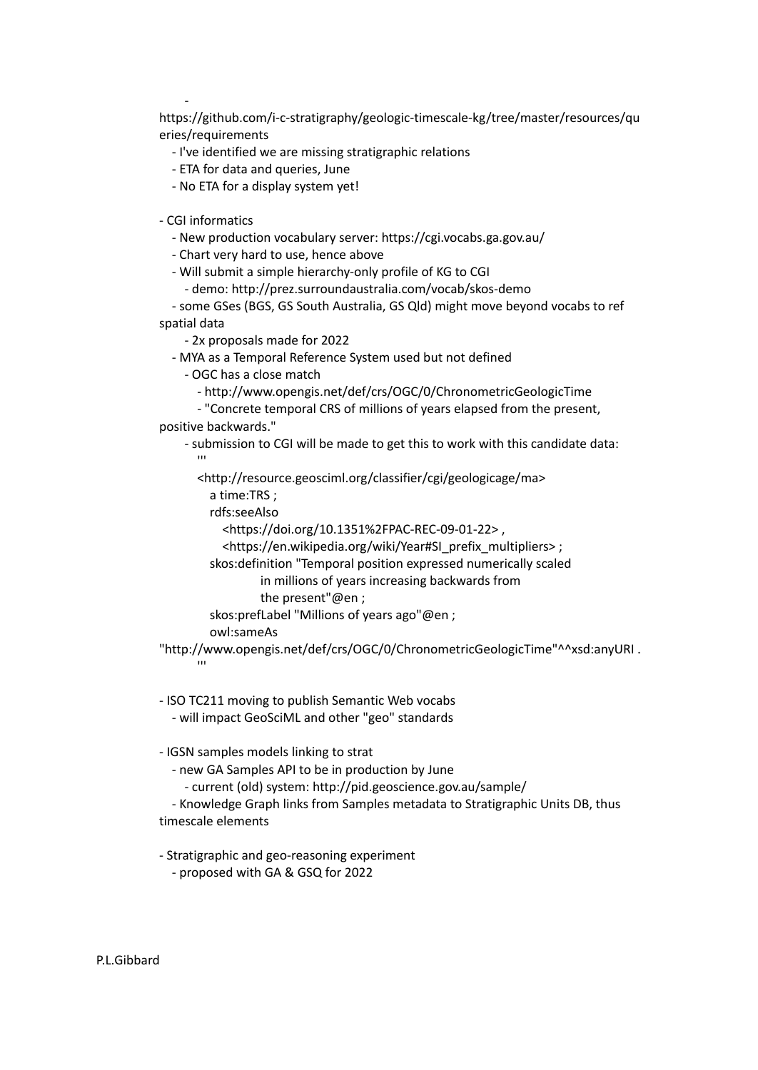https://github.com/i-c-stratigraphy/geologic-timescale-kg/tree/master/resources/qu eries/requirements

- I've identified we are missing stratigraphic relations
- ETA for data and queries, June
- No ETA for a display system yet!

- CGI informatics

-

- New production vocabulary server: https://cgi.vocabs.ga.gov.au/

- Chart very hard to use, hence above

- Will submit a simple hierarchy-only profile of KG to CGI

- demo: http://prez.surroundaustralia.com/vocab/skos-demo

- some GSes (BGS, GS South Australia, GS Qld) might move beyond vocabs to ref spatial data

- 2x proposals made for 2022

- MYA as a Temporal Reference System used but not defined

- OGC has a close match

- http://www.opengis.net/def/crs/OGC/0/ChronometricGeologicTime
- "Concrete temporal CRS of millions of years elapsed from the present, positive backwards."
	- submission to CGI will be made to get this to work with this candidate data:  $^{\prime\prime\prime}$

<http://resource.geosciml.org/classifier/cgi/geologicage/ma>

a time:TRS ;

rdfs:seeAlso

<https://doi.org/10.1351%2FPAC-REC-09-01-22> ,

<https://en.wikipedia.org/wiki/Year#SI\_prefix\_multipliers> ;

skos:definition "Temporal position expressed numerically scaled

in millions of years increasing backwards from

the present"@en ;

skos:prefLabel "Millions of years ago"@en ;

owl:sameAs

'''

"http://www.opengis.net/def/crs/OGC/0/ChronometricGeologicTime"^^xsd:anyURI .

- ISO TC211 moving to publish Semantic Web vocabs

- will impact GeoSciML and other "geo" standards

- IGSN samples models linking to strat

- new GA Samples API to be in production by June

- current (old) system: http://pid.geoscience.gov.au/sample/

- Knowledge Graph links from Samples metadata to Stratigraphic Units DB, thus timescale elements

- Stratigraphic and geo-reasoning experiment

- proposed with GA & GSQ for 2022